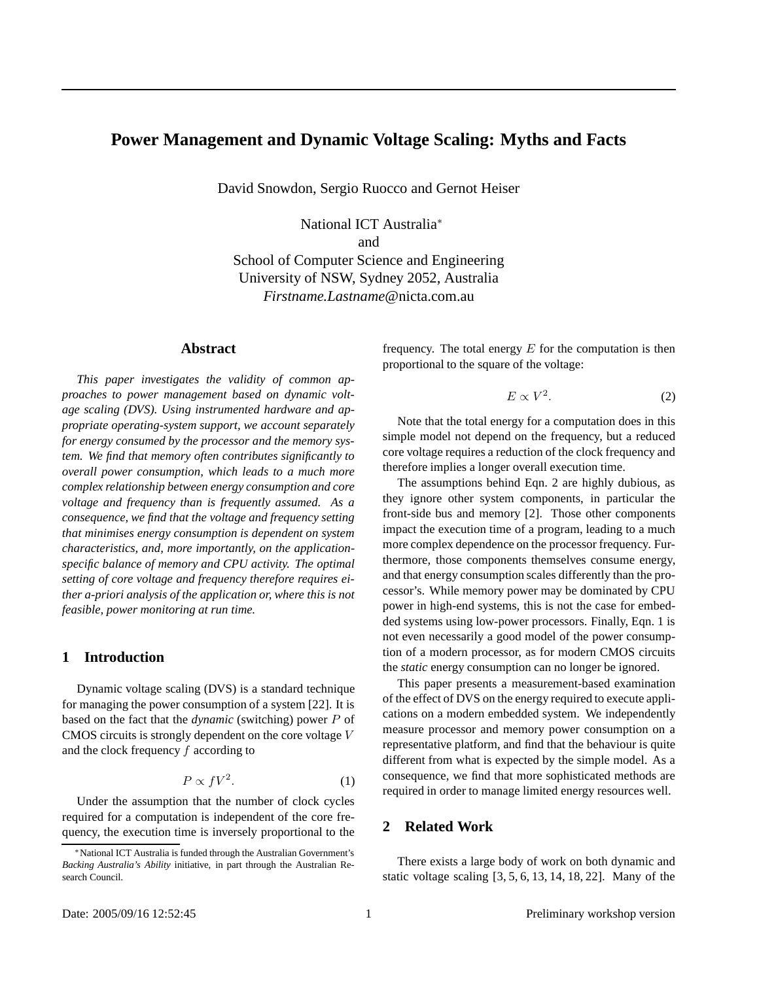# **Power Management and Dynamic Voltage Scaling: Myths and Facts**

David Snowdon, Sergio Ruocco and Gernot Heiser

National ICT Australia<sup>∗</sup> and School of Computer Science and Engineering University of NSW, Sydney 2052, Australia *Firstname.Lastname*@nicta.com.au

### **Abstract**

*This paper investigates the validity of common approaches to power management based on dynamic voltage scaling (DVS). Using instrumented hardware and appropriate operating-system support, we account separately for energy consumed by the processor and the memory system. We find that memory often contributes significantly to overall power consumption, which leads to a much more complex relationship between energy consumption and core voltage and frequency than is frequently assumed. As a consequence, we find that the voltage and frequency setting that minimises energy consumption is dependent on system characteristics, and, more importantly, on the applicationspecific balance of memory and CPU activity. The optimal setting of core voltage and frequency therefore requires either a-priori analysis of the application or, where this is not feasible, power monitoring at run time.*

### **1 Introduction**

Dynamic voltage scaling (DVS) is a standard technique for managing the power consumption of a system [22]. It is based on the fact that the *dynamic* (switching) power P of CMOS circuits is strongly dependent on the core voltage V and the clock frequency  $f$  according to

$$
P \propto fV^2. \tag{1}
$$

Under the assumption that the number of clock cycles required for a computation is independent of the core frequency, the execution time is inversely proportional to the frequency. The total energy  $E$  for the computation is then proportional to the square of the voltage:

$$
E \propto V^2. \tag{2}
$$

Note that the total energy for a computation does in this simple model not depend on the frequency, but a reduced core voltage requires a reduction of the clock frequency and therefore implies a longer overall execution time.

The assumptions behind Eqn. 2 are highly dubious, as they ignore other system components, in particular the front-side bus and memory [2]. Those other components impact the execution time of a program, leading to a much more complex dependence on the processor frequency. Furthermore, those components themselves consume energy, and that energy consumption scales differently than the processor's. While memory power may be dominated by CPU power in high-end systems, this is not the case for embedded systems using low-power processors. Finally, Eqn. 1 is not even necessarily a good model of the power consumption of a modern processor, as for modern CMOS circuits the *static* energy consumption can no longer be ignored.

This paper presents a measurement-based examination of the effect of DVS on the energy required to execute applications on a modern embedded system. We independently measure processor and memory power consumption on a representative platform, and find that the behaviour is quite different from what is expected by the simple model. As a consequence, we find that more sophisticated methods are required in order to manage limited energy resources well.

## **2 Related Work**

There exists a large body of work on both dynamic and static voltage scaling [3, 5, 6, 13, 14, 18, 22]. Many of the

<sup>∗</sup>National ICT Australia is funded through the Australian Government's *Backing Australia's Ability* initiative, in part through the Australian Research Council.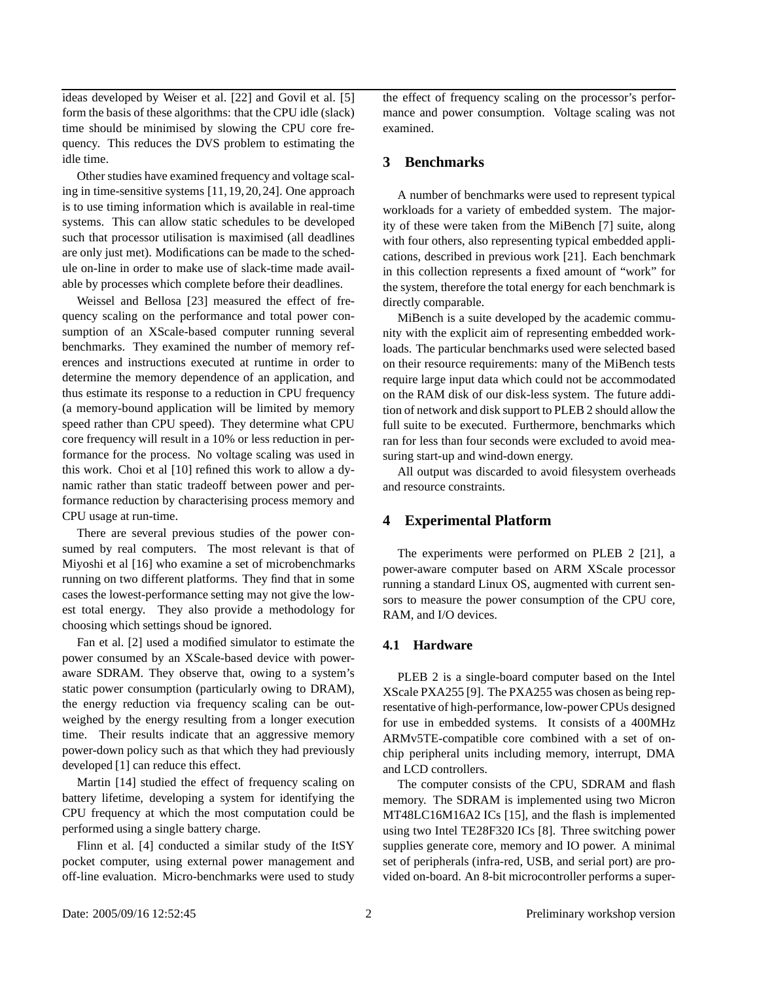ideas developed by Weiser et al. [22] and Govil et al. [5] form the basis of these algorithms: that the CPU idle (slack) time should be minimised by slowing the CPU core frequency. This reduces the DVS problem to estimating the idle time.

Other studies have examined frequency and voltage scaling in time-sensitive systems [11,19,20,24]. One approach is to use timing information which is available in real-time systems. This can allow static schedules to be developed such that processor utilisation is maximised (all deadlines are only just met). Modifications can be made to the schedule on-line in order to make use of slack-time made available by processes which complete before their deadlines.

Weissel and Bellosa [23] measured the effect of frequency scaling on the performance and total power consumption of an XScale-based computer running several benchmarks. They examined the number of memory references and instructions executed at runtime in order to determine the memory dependence of an application, and thus estimate its response to a reduction in CPU frequency (a memory-bound application will be limited by memory speed rather than CPU speed). They determine what CPU core frequency will result in a 10% or less reduction in performance for the process. No voltage scaling was used in this work. Choi et al [10] refined this work to allow a dynamic rather than static tradeoff between power and performance reduction by characterising process memory and CPU usage at run-time.

There are several previous studies of the power consumed by real computers. The most relevant is that of Miyoshi et al [16] who examine a set of microbenchmarks running on two different platforms. They find that in some cases the lowest-performance setting may not give the lowest total energy. They also provide a methodology for choosing which settings shoud be ignored.

Fan et al. [2] used a modified simulator to estimate the power consumed by an XScale-based device with poweraware SDRAM. They observe that, owing to a system's static power consumption (particularly owing to DRAM), the energy reduction via frequency scaling can be outweighed by the energy resulting from a longer execution time. Their results indicate that an aggressive memory power-down policy such as that which they had previously developed [1] can reduce this effect.

Martin [14] studied the effect of frequency scaling on battery lifetime, developing a system for identifying the CPU frequency at which the most computation could be performed using a single battery charge.

Flinn et al. [4] conducted a similar study of the ItSY pocket computer, using external power management and off-line evaluation. Micro-benchmarks were used to study the effect of frequency scaling on the processor's performance and power consumption. Voltage scaling was not examined.

#### **3 Benchmarks**

A number of benchmarks were used to represent typical workloads for a variety of embedded system. The majority of these were taken from the MiBench [7] suite, along with four others, also representing typical embedded applications, described in previous work [21]. Each benchmark in this collection represents a fixed amount of "work" for the system, therefore the total energy for each benchmark is directly comparable.

MiBench is a suite developed by the academic community with the explicit aim of representing embedded workloads. The particular benchmarks used were selected based on their resource requirements: many of the MiBench tests require large input data which could not be accommodated on the RAM disk of our disk-less system. The future addition of network and disk support to PLEB 2 should allow the full suite to be executed. Furthermore, benchmarks which ran for less than four seconds were excluded to avoid measuring start-up and wind-down energy.

All output was discarded to avoid filesystem overheads and resource constraints.

#### **4 Experimental Platform**

The experiments were performed on PLEB 2 [21], a power-aware computer based on ARM XScale processor running a standard Linux OS, augmented with current sensors to measure the power consumption of the CPU core, RAM, and I/O devices.

#### **4.1 Hardware**

PLEB 2 is a single-board computer based on the Intel XScale PXA255 [9]. The PXA255 was chosen as being representative of high-performance, low-power CPUs designed for use in embedded systems. It consists of a 400MHz ARMv5TE-compatible core combined with a set of onchip peripheral units including memory, interrupt, DMA and LCD controllers.

The computer consists of the CPU, SDRAM and flash memory. The SDRAM is implemented using two Micron MT48LC16M16A2 ICs [15], and the flash is implemented using two Intel TE28F320 ICs [8]. Three switching power supplies generate core, memory and IO power. A minimal set of peripherals (infra-red, USB, and serial port) are provided on-board. An 8-bit microcontroller performs a super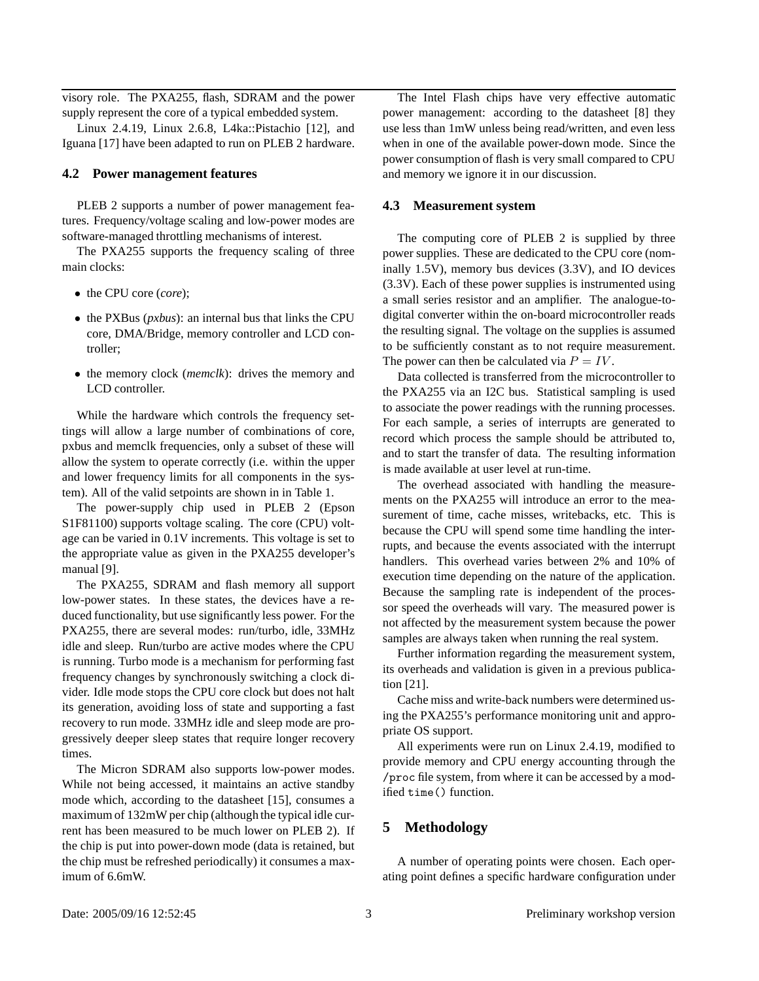visory role. The PXA255, flash, SDRAM and the power supply represent the core of a typical embedded system.

Linux 2.4.19, Linux 2.6.8, L4ka::Pistachio [12], and Iguana [17] have been adapted to run on PLEB 2 hardware.

#### **4.2 Power management features**

PLEB 2 supports a number of power management features. Frequency/voltage scaling and low-power modes are software-managed throttling mechanisms of interest.

The PXA255 supports the frequency scaling of three main clocks:

- the CPU core (*core*);
- the PXBus (*pxbus*): an internal bus that links the CPU core, DMA/Bridge, memory controller and LCD controller;
- the memory clock (*memclk*): drives the memory and LCD controller.

While the hardware which controls the frequency settings will allow a large number of combinations of core, pxbus and memclk frequencies, only a subset of these will allow the system to operate correctly (i.e. within the upper and lower frequency limits for all components in the system). All of the valid setpoints are shown in in Table 1.

The power-supply chip used in PLEB 2 (Epson S1F81100) supports voltage scaling. The core (CPU) voltage can be varied in 0.1V increments. This voltage is set to the appropriate value as given in the PXA255 developer's manual [9].

The PXA255, SDRAM and flash memory all support low-power states. In these states, the devices have a reduced functionality, but use significantly less power. For the PXA255, there are several modes: run/turbo, idle, 33MHz idle and sleep. Run/turbo are active modes where the CPU is running. Turbo mode is a mechanism for performing fast frequency changes by synchronously switching a clock divider. Idle mode stops the CPU core clock but does not halt its generation, avoiding loss of state and supporting a fast recovery to run mode. 33MHz idle and sleep mode are progressively deeper sleep states that require longer recovery times.

The Micron SDRAM also supports low-power modes. While not being accessed, it maintains an active standby mode which, according to the datasheet [15], consumes a maximum of 132mW per chip (although the typical idle current has been measured to be much lower on PLEB 2). If the chip is put into power-down mode (data is retained, but the chip must be refreshed periodically) it consumes a maximum of 6.6mW.

The Intel Flash chips have very effective automatic power management: according to the datasheet [8] they use less than 1mW unless being read/written, and even less when in one of the available power-down mode. Since the power consumption of flash is very small compared to CPU and memory we ignore it in our discussion.

#### **4.3 Measurement system**

The computing core of PLEB 2 is supplied by three power supplies. These are dedicated to the CPU core (nominally 1.5V), memory bus devices (3.3V), and IO devices (3.3V). Each of these power supplies is instrumented using a small series resistor and an amplifier. The analogue-todigital converter within the on-board microcontroller reads the resulting signal. The voltage on the supplies is assumed to be sufficiently constant as to not require measurement. The power can then be calculated via  $P = IV$ .

Data collected is transferred from the microcontroller to the PXA255 via an I2C bus. Statistical sampling is used to associate the power readings with the running processes. For each sample, a series of interrupts are generated to record which process the sample should be attributed to, and to start the transfer of data. The resulting information is made available at user level at run-time.

The overhead associated with handling the measurements on the PXA255 will introduce an error to the measurement of time, cache misses, writebacks, etc. This is because the CPU will spend some time handling the interrupts, and because the events associated with the interrupt handlers. This overhead varies between 2% and 10% of execution time depending on the nature of the application. Because the sampling rate is independent of the processor speed the overheads will vary. The measured power is not affected by the measurement system because the power samples are always taken when running the real system.

Further information regarding the measurement system, its overheads and validation is given in a previous publication [21].

Cache miss and write-back numbers were determined using the PXA255's performance monitoring unit and appropriate OS support.

All experiments were run on Linux 2.4.19, modified to provide memory and CPU energy accounting through the /proc file system, from where it can be accessed by a modified time() function.

## **5 Methodology**

A number of operating points were chosen. Each operating point defines a specific hardware configuration under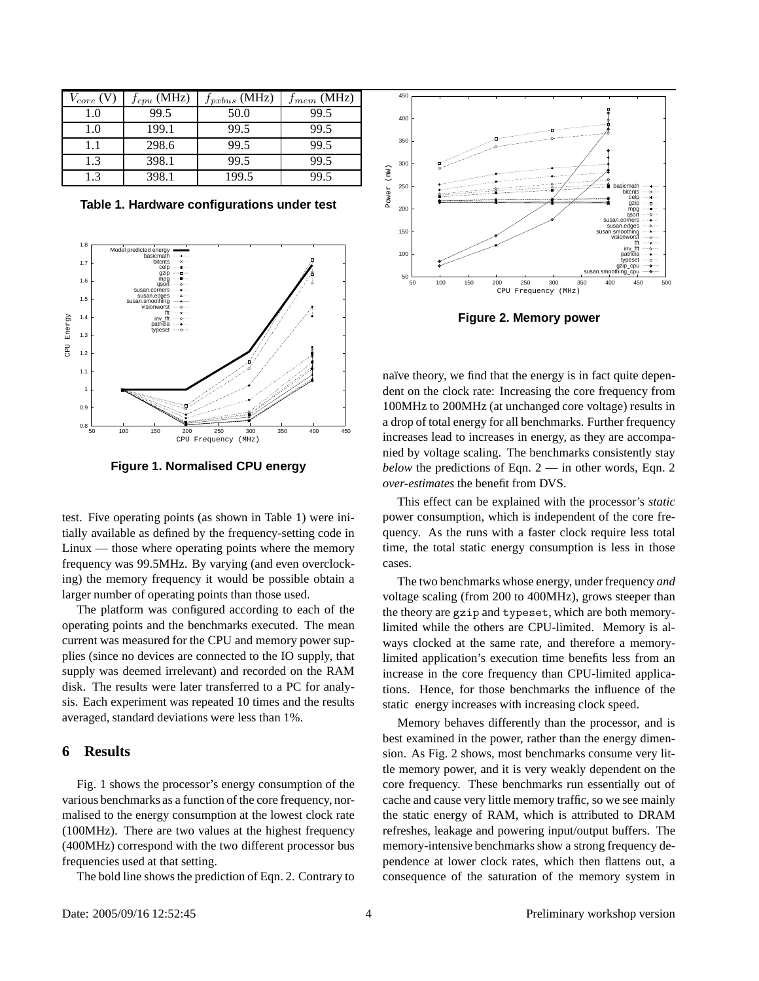| $\sqrt{core}$ | $f_{cpu}$ (MHz) | $f_{pxbus}$ (MHz) | $f_{mem}$ (MHz) |
|---------------|-----------------|-------------------|-----------------|
| 1.0           | 99.5            | 50.0              | 99.5            |
| 1.0           | 199.1           | 99.5              | 99.5            |
| 1.1           | 298.6           | 99.5              | 99.5            |
| 1.3           | 398.1           | 99.5              | 99.5            |
| 1.3           | 398.1           | 199.5             | 99.5            |

**Table 1. Hardware configurations under test**



**Figure 1. Normalised CPU energy**

test. Five operating points (as shown in Table 1) were initially available as defined by the frequency-setting code in Linux — those where operating points where the memory frequency was 99.5MHz. By varying (and even overclocking) the memory frequency it would be possible obtain a larger number of operating points than those used.

The platform was configured according to each of the operating points and the benchmarks executed. The mean current was measured for the CPU and memory power supplies (since no devices are connected to the IO supply, that supply was deemed irrelevant) and recorded on the RAM disk. The results were later transferred to a PC for analysis. Each experiment was repeated 10 times and the results averaged, standard deviations were less than 1%.

## **6 Results**

Fig. 1 shows the processor's energy consumption of the various benchmarks as a function of the core frequency, normalised to the energy consumption at the lowest clock rate (100MHz). There are two values at the highest frequency (400MHz) correspond with the two different processor bus frequencies used at that setting.

The bold line shows the prediction of Eqn. 2. Contrary to



**Figure 2. Memory power**

naïve theory, we find that the energy is in fact quite dependent on the clock rate: Increasing the core frequency from 100MHz to 200MHz (at unchanged core voltage) results in a drop of total energy for all benchmarks. Further frequency increases lead to increases in energy, as they are accompanied by voltage scaling. The benchmarks consistently stay *below* the predictions of Eqn. 2 — in other words, Eqn. 2 *over-estimates* the benefit from DVS.

This effect can be explained with the processor's *static* power consumption, which is independent of the core frequency. As the runs with a faster clock require less total time, the total static energy consumption is less in those cases.

The two benchmarks whose energy, under frequency *and* voltage scaling (from 200 to 400MHz), grows steeper than the theory are gzip and typeset, which are both memorylimited while the others are CPU-limited. Memory is always clocked at the same rate, and therefore a memorylimited application's execution time benefits less from an increase in the core frequency than CPU-limited applications. Hence, for those benchmarks the influence of the static energy increases with increasing clock speed.

Memory behaves differently than the processor, and is best examined in the power, rather than the energy dimension. As Fig. 2 shows, most benchmarks consume very little memory power, and it is very weakly dependent on the core frequency. These benchmarks run essentially out of cache and cause very little memory traffic, so we see mainly the static energy of RAM, which is attributed to DRAM refreshes, leakage and powering input/output buffers. The memory-intensive benchmarks show a strong frequency dependence at lower clock rates, which then flattens out, a consequence of the saturation of the memory system in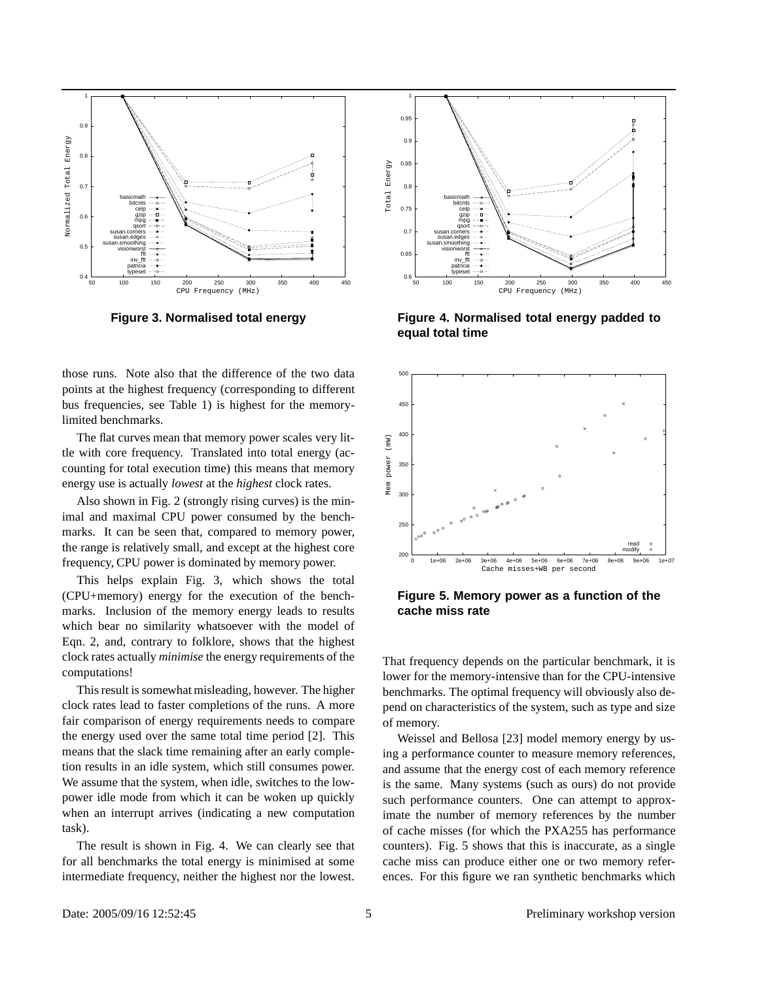

**Figure 3. Normalised total energy**

those runs. Note also that the difference of the two data points at the highest frequency (corresponding to different bus frequencies, see Table 1) is highest for the memorylimited benchmarks.

The flat curves mean that memory power scales very little with core frequency. Translated into total energy (accounting for total execution time) this means that memory energy use is actually *lowest* at the *highest* clock rates.

Also shown in Fig. 2 (strongly rising curves) is the minimal and maximal CPU power consumed by the benchmarks. It can be seen that, compared to memory power, the range is relatively small, and except at the highest core frequency, CPU power is dominated by memory power.

This helps explain Fig. 3, which shows the total (CPU+memory) energy for the execution of the benchmarks. Inclusion of the memory energy leads to results which bear no similarity whatsoever with the model of Eqn. 2, and, contrary to folklore, shows that the highest clock rates actually *minimise* the energy requirements of the computations!

This result is somewhat misleading, however. The higher clock rates lead to faster completions of the runs. A more fair comparison of energy requirements needs to compare the energy used over the same total time period [2]. This means that the slack time remaining after an early completion results in an idle system, which still consumes power. We assume that the system, when idle, switches to the lowpower idle mode from which it can be woken up quickly when an interrupt arrives (indicating a new computation task).

The result is shown in Fig. 4. We can clearly see that for all benchmarks the total energy is minimised at some intermediate frequency, neither the highest nor the lowest.



**Figure 4. Normalised total energy padded to equal total time**



**Figure 5. Memory power as a function of the cache miss rate**

That frequency depends on the particular benchmark, it is lower for the memory-intensive than for the CPU-intensive benchmarks. The optimal frequency will obviously also depend on characteristics of the system, such as type and size of memory.

Weissel and Bellosa [23] model memory energy by using a performance counter to measure memory references, and assume that the energy cost of each memory reference is the same. Many systems (such as ours) do not provide such performance counters. One can attempt to approximate the number of memory references by the number of cache misses (for which the PXA255 has performance counters). Fig. 5 shows that this is inaccurate, as a single cache miss can produce either one or two memory references. For this figure we ran synthetic benchmarks which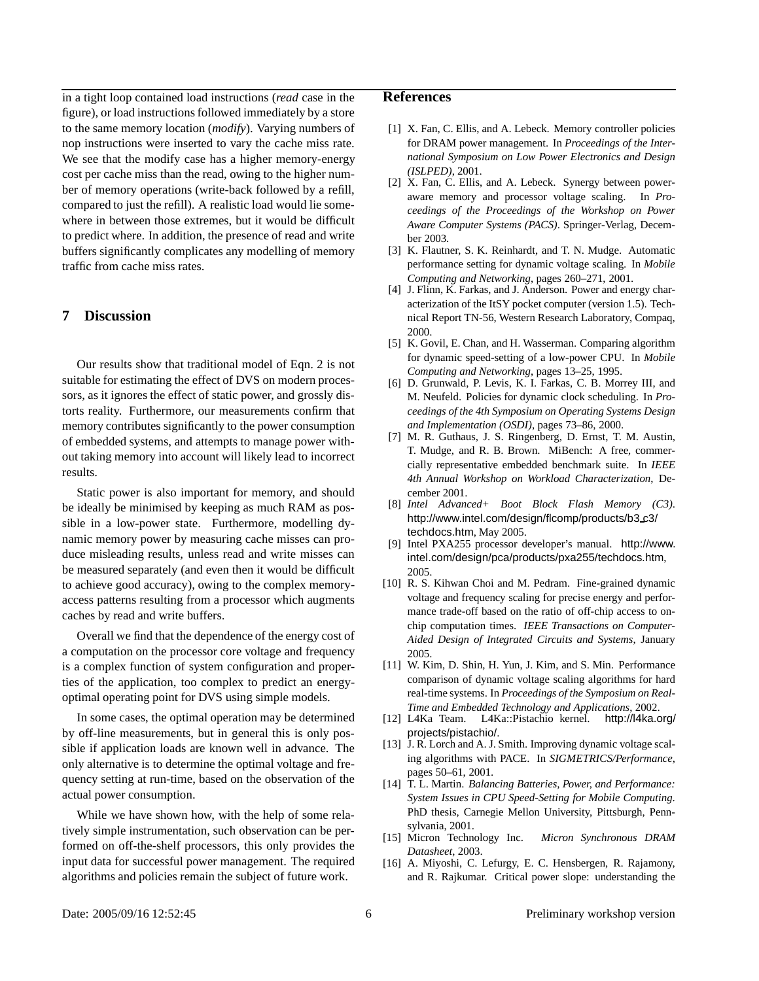in a tight loop contained load instructions (*read* case in the figure), or load instructionsfollowed immediately by a store to the same memory location (*modify*). Varying numbers of nop instructions were inserted to vary the cache miss rate. We see that the modify case has a higher memory-energy cost per cache miss than the read, owing to the higher number of memory operations (write-back followed by a refill, compared to just the refill). A realistic load would lie somewhere in between those extremes, but it would be difficult to predict where. In addition, the presence of read and write buffers significantly complicates any modelling of memory traffic from cache miss rates.

## **7 Discussion**

Our results show that traditional model of Eqn. 2 is not suitable for estimating the effect of DVS on modern processors, as it ignores the effect of static power, and grossly distorts reality. Furthermore, our measurements confirm that memory contributes significantly to the power consumption of embedded systems, and attempts to manage power without taking memory into account will likely lead to incorrect results.

Static power is also important for memory, and should be ideally be minimised by keeping as much RAM as possible in a low-power state. Furthermore, modelling dynamic memory power by measuring cache misses can produce misleading results, unless read and write misses can be measured separately (and even then it would be difficult to achieve good accuracy), owing to the complex memoryaccess patterns resulting from a processor which augments caches by read and write buffers.

Overall we find that the dependence of the energy cost of a computation on the processor core voltage and frequency is a complex function of system configuration and properties of the application, too complex to predict an energyoptimal operating point for DVS using simple models.

In some cases, the optimal operation may be determined by off-line measurements, but in general this is only possible if application loads are known well in advance. The only alternative is to determine the optimal voltage and frequency setting at run-time, based on the observation of the actual power consumption.

While we have shown how, with the help of some relatively simple instrumentation, such observation can be performed on off-the-shelf processors, this only provides the input data for successful power management. The required algorithms and policies remain the subject of future work.

### **References**

- [1] X. Fan, C. Ellis, and A. Lebeck. Memory controller policies for DRAM power management. In *Proceedings of the International Symposium on Low Power Electronics and Design (ISLPED)*, 2001.
- [2] X. Fan, C. Ellis, and A. Lebeck. Synergy between poweraware memory and processor voltage scaling. In *Proceedings of the Proceedings of the Workshop on Power Aware Computer Systems (PACS)*. Springer-Verlag, December 2003.
- [3] K. Flautner, S. K. Reinhardt, and T. N. Mudge. Automatic performance setting for dynamic voltage scaling. In *Mobile Computing and Networking*, pages 260–271, 2001.
- [4] J. Flinn, K. Farkas, and J. Anderson. Power and energy characterization of the ItSY pocket computer (version 1.5). Technical Report TN-56, Western Research Laboratory, Compaq, 2000.
- [5] K. Govil, E. Chan, and H. Wasserman. Comparing algorithm for dynamic speed-setting of a low-power CPU. In *Mobile Computing and Networking*, pages 13–25, 1995.
- [6] D. Grunwald, P. Levis, K. I. Farkas, C. B. Morrey III, and M. Neufeld. Policies for dynamic clock scheduling. In *Proceedings of the 4th Symposium on Operating Systems Design and Implementation (OSDI)*, pages 73–86, 2000.
- [7] M. R. Guthaus, J. S. Ringenberg, D. Ernst, T. M. Austin, T. Mudge, and R. B. Brown. MiBench: A free, commercially representative embedded benchmark suite. In *IEEE 4th Annual Workshop on Workload Characterization*, December 2001.
- [8] *Intel Advanced+ Boot Block Flash Memory (C3)*. http://www.intel.com/design/flcomp/products/b3 c3/ techdocs.htm, May 2005.
- [9] Intel PXA255 processor developer's manual. http://www. intel.com/design/pca/products/pxa255/techdocs.htm, 2005.
- [10] R. S. Kihwan Choi and M. Pedram. Fine-grained dynamic voltage and frequency scaling for precise energy and performance trade-off based on the ratio of off-chip access to onchip computation times. *IEEE Transactions on Computer-Aided Design of Integrated Circuits and Systems*, January 2005.
- [11] W. Kim, D. Shin, H. Yun, J. Kim, and S. Min. Performance comparison of dynamic voltage scaling algorithms for hard real-time systems. In *Proceedings of the Symposium on Real-Time and Embedded Technology and Applications*, 2002.
- [12] L4Ka Team. L4Ka::Pistachio kernel. http://l4ka.org/ projects/pistachio/.
- [13] J. R. Lorch and A. J. Smith. Improving dynamic voltage scaling algorithms with PACE. In *SIGMETRICS/Performance*, pages 50–61, 2001.
- [14] T. L. Martin. *Balancing Batteries, Power, and Performance: System Issues in CPU Speed-Setting for Mobile Computing*. PhD thesis, Carnegie Mellon University, Pittsburgh, Pennsylvania, 2001.
- [15] Micron Technology Inc. *Micron Synchronous DRAM Datasheet*, 2003.
- [16] A. Miyoshi, C. Lefurgy, E. C. Hensbergen, R. Rajamony, and R. Rajkumar. Critical power slope: understanding the